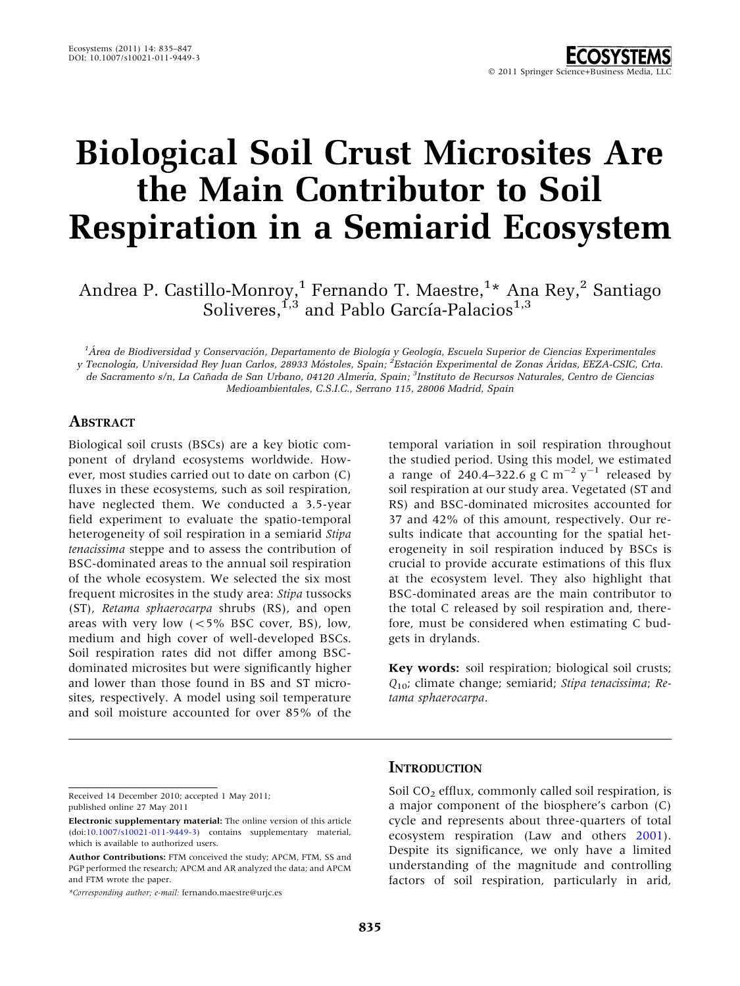# Biological Soil Crust Microsites Are the Main Contributor to Soil Respiration in a Semiarid Ecosystem

Andrea P. Castillo-Monroy,<sup>1</sup> Fernando T. Maestre,<sup>1</sup>\* Ana Rey,<sup>2</sup> Santiago Soliveres,<sup>1,3</sup> and Pablo García-Palacios<sup>1,3</sup>

<sup>1</sup>Área de Biodiversidad y Conservación, Departamento de Biología y Geología, Escuela Superior de Ciencias Experimentales y Tecnología, Universidad Rey Juan Carlos, 28933 Móstoles, Spain; <sup>2</sup>Estación Experimental de Zonas Áridas, EEZA-CSIC, Crta. de Sacramento s/n, La Cañada de San Urbano, 04120 Almería, Spain; <sup>3</sup>Instituto de Recursos Naturales, Centro de Ciencias Medioambientales, C.S.I.C., Serrano 115, 28006 Madrid, Spain

#### **ABSTRACT**

Biological soil crusts (BSCs) are a key biotic component of dryland ecosystems worldwide. However, most studies carried out to date on carbon (C) fluxes in these ecosystems, such as soil respiration, have neglected them. We conducted a 3.5-year field experiment to evaluate the spatio-temporal heterogeneity of soil respiration in a semiarid Stipa tenacissima steppe and to assess the contribution of BSC-dominated areas to the annual soil respiration of the whole ecosystem. We selected the six most frequent microsites in the study area: Stipa tussocks (ST), Retama sphaerocarpa shrubs (RS), and open areas with very low  $(<5\%$  BSC cover, BS), low, medium and high cover of well-developed BSCs. Soil respiration rates did not differ among BSCdominated microsites but were significantly higher and lower than those found in BS and ST microsites, respectively. A model using soil temperature and soil moisture accounted for over 85% of the

Key words: soil respiration; biological soil crusts;  $Q_{10}$ ; climate change; semiarid; Stipa tenacissima; Retama sphaerocarpa.

\*Corresponding author; e-mail: fernando.maestre@urjc.es

#### **INTRODUCTION**

Soil  $CO<sub>2</sub>$  efflux, commonly called soil respiration, is a major component of the biosphere's carbon (C) cycle and represents about three-quarters of total ecosystem respiration (Law and others [2001](#page-11-0)). Despite its significance, we only have a limited understanding of the magnitude and controlling factors of soil respiration, particularly in arid,

temporal variation in soil respiration throughout the studied period. Using this model, we estimated a range of 240.4–322.6 g C  $\text{m}^{-2} \text{ y}^{-1}$  released by soil respiration at our study area. Vegetated (ST and RS) and BSC-dominated microsites accounted for 37 and 42% of this amount, respectively. Our results indicate that accounting for the spatial heterogeneity in soil respiration induced by BSCs is crucial to provide accurate estimations of this flux at the ecosystem level. They also highlight that BSC-dominated areas are the main contributor to the total C released by soil respiration and, therefore, must be considered when estimating C budgets in drylands.

Received 14 December 2010; accepted 1 May 2011; published online 27 May 2011

Electronic supplementary material: The online version of this article (doi[:10.1007/s10021-011-9449-3\)](http://dx.doi.org/10.1007/s10021-011-9449-3) contains supplementary material, which is available to authorized users.

Author Contributions: FTM conceived the study; APCM, FTM, SS and PGP performed the research; APCM and AR analyzed the data; and APCM and FTM wrote the paper.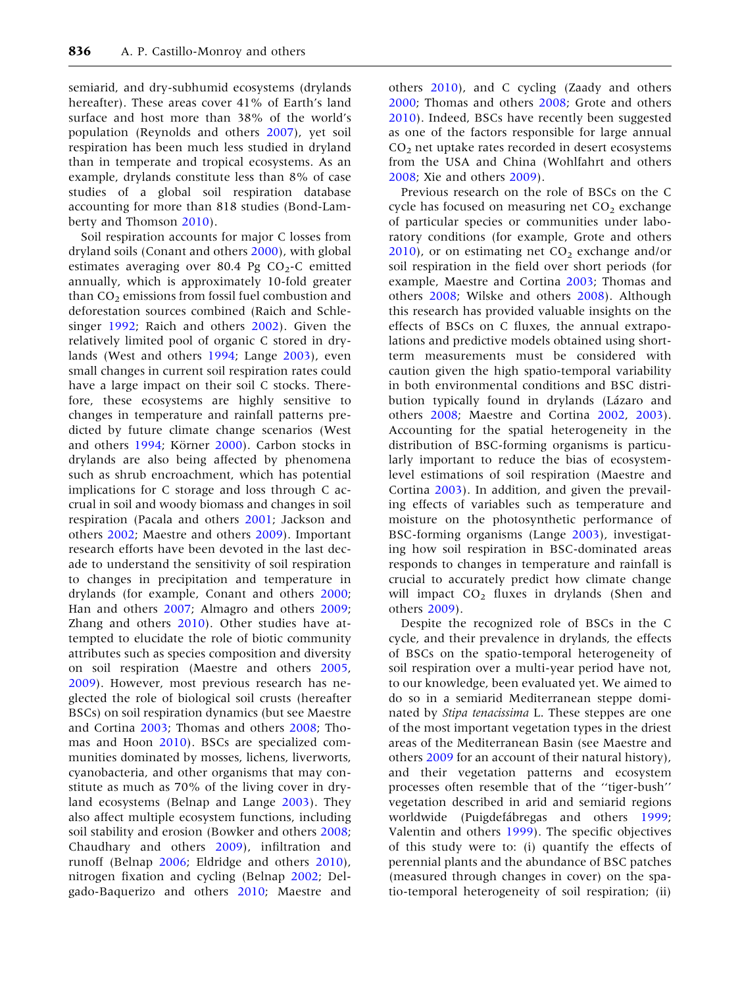semiarid, and dry-subhumid ecosystems (drylands hereafter). These areas cover 41% of Earth's land surface and host more than 38% of the world's population (Reynolds and others [2007\)](#page-12-0), yet soil respiration has been much less studied in dryland than in temperate and tropical ecosystems. As an example, drylands constitute less than 8% of case studies of a global soil respiration database accounting for more than 818 studies (Bond-Lamberty and Thomson [2010](#page-11-0)).

Soil respiration accounts for major C losses from dryland soils (Conant and others [2000](#page-11-0)), with global estimates averaging over 80.4 Pg  $CO<sub>2</sub>$ -C emitted annually, which is approximately 10-fold greater than  $CO<sub>2</sub>$  emissions from fossil fuel combustion and deforestation sources combined (Raich and Schlesinger [1992;](#page-12-0) Raich and others [2002\)](#page-12-0). Given the relatively limited pool of organic C stored in drylands (West and others [1994;](#page-12-0) Lange [2003](#page-11-0)), even small changes in current soil respiration rates could have a large impact on their soil C stocks. Therefore, these ecosystems are highly sensitive to changes in temperature and rainfall patterns predicted by future climate change scenarios (West and others [1994;](#page-12-0) Körner [2000\)](#page-11-0). Carbon stocks in drylands are also being affected by phenomena such as shrub encroachment, which has potential implications for C storage and loss through C accrual in soil and woody biomass and changes in soil respiration (Pacala and others [2001;](#page-12-0) Jackson and others [2002](#page-11-0); Maestre and others [2009\)](#page-12-0). Important research efforts have been devoted in the last decade to understand the sensitivity of soil respiration to changes in precipitation and temperature in drylands (for example, Conant and others [2000](#page-11-0); Han and others [2007](#page-11-0); Almagro and others [2009](#page-11-0); Zhang and others [2010\)](#page-12-0). Other studies have attempted to elucidate the role of biotic community attributes such as species composition and diversity on soil respiration (Maestre and others [2005](#page-12-0), [2009\)](#page-12-0). However, most previous research has neglected the role of biological soil crusts (hereafter BSCs) on soil respiration dynamics (but see Maestre and Cortina [2003;](#page-12-0) Thomas and others [2008](#page-12-0); Thomas and Hoon [2010\)](#page-12-0). BSCs are specialized communities dominated by mosses, lichens, liverworts, cyanobacteria, and other organisms that may constitute as much as 70% of the living cover in dryland ecosystems (Belnap and Lange [2003](#page-11-0)). They also affect multiple ecosystem functions, including soil stability and erosion (Bowker and others [2008](#page-11-0); Chaudhary and others [2009\)](#page-11-0), infiltration and runoff (Belnap [2006;](#page-11-0) Eldridge and others [2010](#page-11-0)), nitrogen fixation and cycling (Belnap [2002;](#page-11-0) Delgado-Baquerizo and others [2010;](#page-11-0) Maestre and

others [2010\)](#page-12-0), and C cycling (Zaady and others [2000;](#page-12-0) Thomas and others [2008;](#page-12-0) Grote and others [2010\)](#page-11-0). Indeed, BSCs have recently been suggested as one of the factors responsible for large annual  $CO<sub>2</sub>$  net uptake rates recorded in desert ecosystems from the USA and China (Wohlfahrt and others [2008;](#page-12-0) Xie and others [2009\)](#page-12-0).

Previous research on the role of BSCs on the C cycle has focused on measuring net  $CO<sub>2</sub>$  exchange of particular species or communities under laboratory conditions (for example, Grote and others  $2010$ ), or on estimating net  $CO<sub>2</sub>$  exchange and/or soil respiration in the field over short periods (for example, Maestre and Cortina [2003;](#page-12-0) Thomas and others [2008;](#page-12-0) Wilske and others [2008](#page-12-0)). Although this research has provided valuable insights on the effects of BSCs on C fluxes, the annual extrapolations and predictive models obtained using shortterm measurements must be considered with caution given the high spatio-temporal variability in both environmental conditions and BSC distribution typically found in drylands (Lázaro and others [2008;](#page-11-0) Maestre and Cortina [2002,](#page-12-0) [2003](#page-12-0)). Accounting for the spatial heterogeneity in the distribution of BSC-forming organisms is particularly important to reduce the bias of ecosystemlevel estimations of soil respiration (Maestre and Cortina [2003](#page-12-0)). In addition, and given the prevailing effects of variables such as temperature and moisture on the photosynthetic performance of BSC-forming organisms (Lange [2003](#page-11-0)), investigating how soil respiration in BSC-dominated areas responds to changes in temperature and rainfall is crucial to accurately predict how climate change will impact  $CO<sub>2</sub>$  fluxes in drylands (Shen and others [2009](#page-12-0)).

Despite the recognized role of BSCs in the C cycle, and their prevalence in drylands, the effects of BSCs on the spatio-temporal heterogeneity of soil respiration over a multi-year period have not, to our knowledge, been evaluated yet. We aimed to do so in a semiarid Mediterranean steppe dominated by Stipa tenacissima L. These steppes are one of the most important vegetation types in the driest areas of the Mediterranean Basin (see Maestre and others [2009](#page-12-0) for an account of their natural history), and their vegetation patterns and ecosystem processes often resemble that of the ''tiger-bush'' vegetation described in arid and semiarid regions worldwide (Puigdefábregas and others [1999](#page-12-0); Valentin and others [1999](#page-12-0)). The specific objectives of this study were to: (i) quantify the effects of perennial plants and the abundance of BSC patches (measured through changes in cover) on the spatio-temporal heterogeneity of soil respiration; (ii)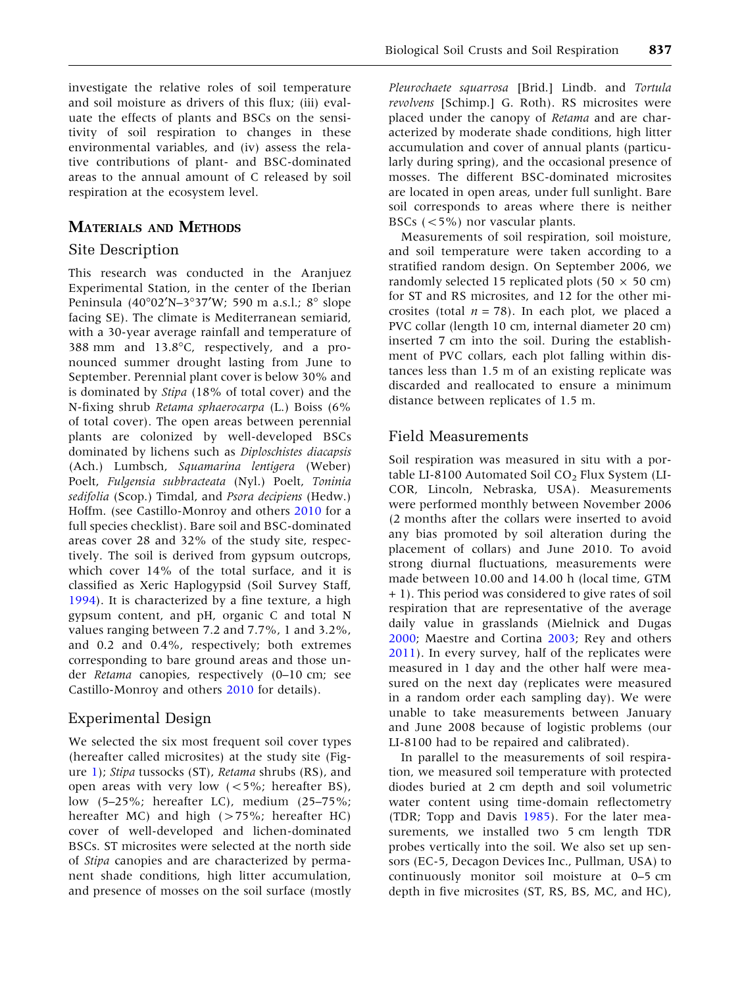investigate the relative roles of soil temperature and soil moisture as drivers of this flux; (iii) evaluate the effects of plants and BSCs on the sensitivity of soil respiration to changes in these environmental variables, and (iv) assess the relative contributions of plant- and BSC-dominated areas to the annual amount of C released by soil respiration at the ecosystem level.

# MATERIALS AND METHODS

# Site Description

This research was conducted in the Aranjuez Experimental Station, in the center of the Iberian Peninsula (40 $^{\circ}$ 02'N–3 $^{\circ}$ 37'W; 590 m a.s.l.; 8 $^{\circ}$  slope facing SE). The climate is Mediterranean semiarid, with a 30-year average rainfall and temperature of 388 mm and  $13.8^{\circ}$ C, respectively, and a pronounced summer drought lasting from June to September. Perennial plant cover is below 30% and is dominated by Stipa (18% of total cover) and the N-fixing shrub Retama sphaerocarpa (L.) Boiss (6% of total cover). The open areas between perennial plants are colonized by well-developed BSCs dominated by lichens such as Diploschistes diacapsis (Ach.) Lumbsch, Squamarina lentigera (Weber) Poelt, Fulgensia subbracteata (Nyl.) Poelt, Toninia sedifolia (Scop.) Timdal, and Psora decipiens (Hedw.) Hoffm. (see Castillo-Monroy and others [2010](#page-11-0) for a full species checklist). Bare soil and BSC-dominated areas cover 28 and 32% of the study site, respectively. The soil is derived from gypsum outcrops, which cover 14% of the total surface, and it is classified as Xeric Haplogypsid (Soil Survey Staff, [1994\)](#page-12-0). It is characterized by a fine texture, a high gypsum content, and pH, organic C and total N values ranging between 7.2 and 7.7%, 1 and 3.2%, and 0.2 and 0.4%, respectively; both extremes corresponding to bare ground areas and those under Retama canopies, respectively (0–10 cm; see Castillo-Monroy and others [2010](#page-11-0) for details).

# Experimental Design

We selected the six most frequent soil cover types (hereafter called microsites) at the study site (Fig-ure [1\)](#page-3-0); Stipa tussocks (ST), Retama shrubs (RS), and open areas with very low  $(<5\%$ ; hereafter BS), low (5–25%; hereafter LC), medium (25–75%; hereafter MC) and high  $(>75\%;$  hereafter HC) cover of well-developed and lichen-dominated BSCs. ST microsites were selected at the north side of Stipa canopies and are characterized by permanent shade conditions, high litter accumulation, and presence of mosses on the soil surface (mostly

Pleurochaete squarrosa [Brid.] Lindb. and Tortula revolvens [Schimp.] G. Roth). RS microsites were placed under the canopy of Retama and are characterized by moderate shade conditions, high litter accumulation and cover of annual plants (particularly during spring), and the occasional presence of mosses. The different BSC-dominated microsites are located in open areas, under full sunlight. Bare soil corresponds to areas where there is neither BSCs  $(<5\%)$  nor vascular plants.

Measurements of soil respiration, soil moisture, and soil temperature were taken according to a stratified random design. On September 2006, we randomly selected 15 replicated plots (50  $\times$  50 cm) for ST and RS microsites, and 12 for the other microsites (total  $n = 78$ ). In each plot, we placed a PVC collar (length 10 cm, internal diameter 20 cm) inserted 7 cm into the soil. During the establishment of PVC collars, each plot falling within distances less than 1.5 m of an existing replicate was discarded and reallocated to ensure a minimum distance between replicates of 1.5 m.

# Field Measurements

Soil respiration was measured in situ with a portable LI-8100 Automated Soil  $CO<sub>2</sub>$  Flux System (LI-COR, Lincoln, Nebraska, USA). Measurements were performed monthly between November 2006 (2 months after the collars were inserted to avoid any bias promoted by soil alteration during the placement of collars) and June 2010. To avoid strong diurnal fluctuations, measurements were made between 10.00 and 14.00 h (local time, GTM + 1). This period was considered to give rates of soil respiration that are representative of the average daily value in grasslands (Mielnick and Dugas [2000;](#page-12-0) Maestre and Cortina [2003;](#page-12-0) Rey and others [2011\)](#page-12-0). In every survey, half of the replicates were measured in 1 day and the other half were measured on the next day (replicates were measured in a random order each sampling day). We were unable to take measurements between January and June 2008 because of logistic problems (our LI-8100 had to be repaired and calibrated).

In parallel to the measurements of soil respiration, we measured soil temperature with protected diodes buried at 2 cm depth and soil volumetric water content using time-domain reflectometry (TDR; Topp and Davis [1985\)](#page-12-0). For the later measurements, we installed two 5 cm length TDR probes vertically into the soil. We also set up sensors (EC-5, Decagon Devices Inc., Pullman, USA) to continuously monitor soil moisture at 0–5 cm depth in five microsites (ST, RS, BS, MC, and HC),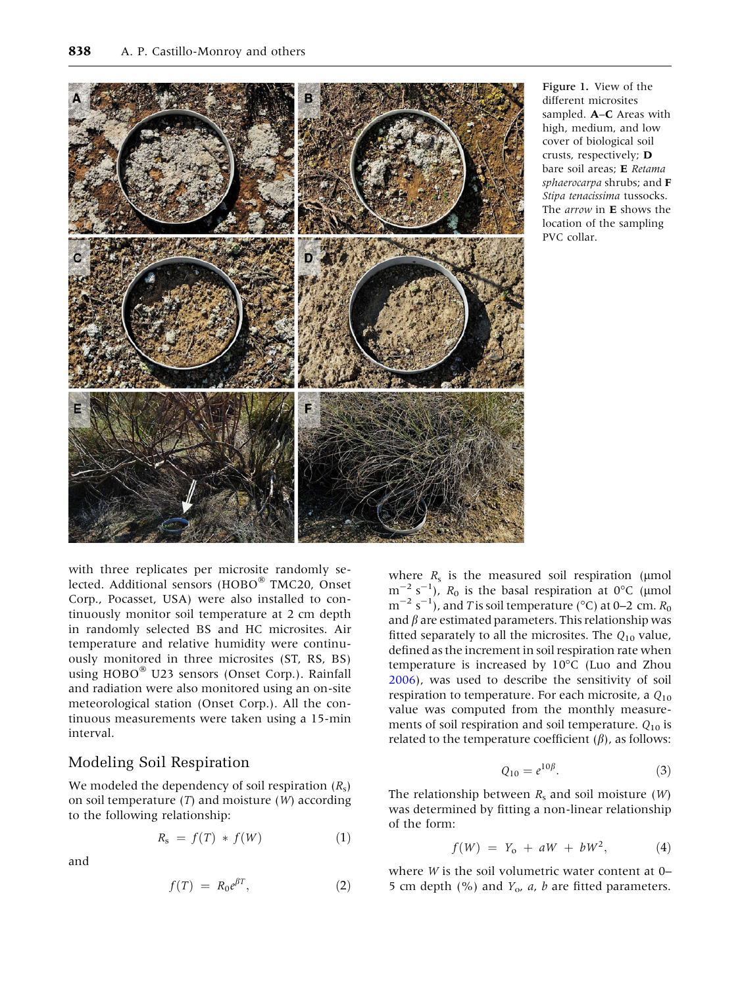<span id="page-3-0"></span>

Figure 1. View of the different microsites sampled. **A-C** Areas with high, medium, and low cover of biological soil crusts, respectively; D bare soil areas; E Retama sphaerocarpa shrubs; and F Stipa tenacissima tussocks. The *arrow* in **E** shows the location of the sampling PVC collar.

with three replicates per microsite randomly selected. Additional sensors (HOBO® TMC20, Onset Corp., Pocasset, USA) were also installed to continuously monitor soil temperature at 2 cm depth in randomly selected BS and HC microsites. Air temperature and relative humidity were continuously monitored in three microsites (ST, RS, BS) using HOBO<sup>®</sup> U23 sensors (Onset Corp.). Rainfall and radiation were also monitored using an on-site meteorological station (Onset Corp.). All the continuous measurements were taken using a 15-min interval.

#### Modeling Soil Respiration

We modeled the dependency of soil respiration  $(R_s)$ on soil temperature  $(T)$  and moisture  $(W)$  according to the following relationship:

$$
R_{\rm s} = f(T) * f(W) \tag{1}
$$

and

$$
f(T) = R_0 e^{\beta T}, \qquad (2)
$$

where  $R_s$  is the measured soil respiration (µmol  $m^{-2}$  s<sup>-1</sup>),  $R_0$  is the basal respiration at 0°C (µmol  $\text{m}^{-2} \text{ s}^{-1}$ ), and T is soil temperature (°C) at 0–2 cm.  $R_0$ and  $\beta$  are estimated parameters. This relationship was fitted separately to all the microsites. The  $Q_{10}$  value, defined as the increment in soil respiration rate when temperature is increased by  $10^{\circ}$ C (Luo and Zhou [2006\)](#page-12-0), was used to describe the sensitivity of soil respiration to temperature. For each microsite, a  $Q_{10}$ value was computed from the monthly measurements of soil respiration and soil temperature.  $Q_{10}$  is related to the temperature coefficient  $(\beta)$ , as follows:

$$
Q_{10} = e^{10\beta}.
$$
 (3)

The relationship between  $R_s$  and soil moisture (W) was determined by fitting a non-linear relationship of the form:

$$
f(W) = Y_o + aW + bW^2, \tag{4}
$$

where W is the soil volumetric water content at 0– 5 cm depth  $(%)$  and  $Y_0$ , a, b are fitted parameters.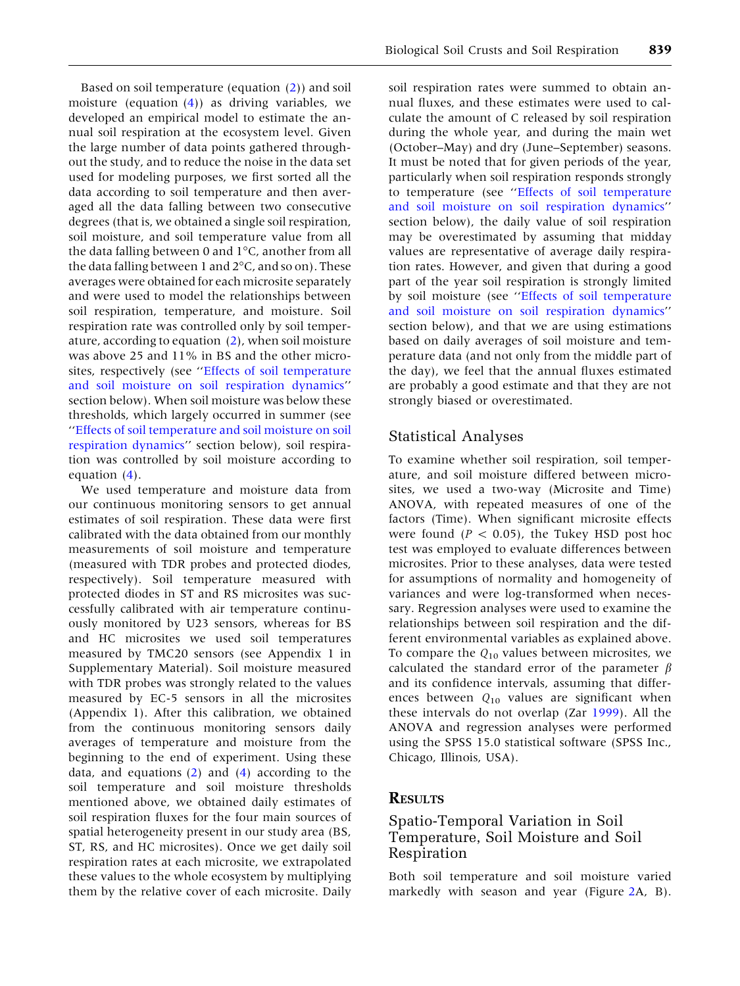Based on soil temperature (equation [\(2\)](#page-3-0)) and soil moisture (equation  $(4)$ ) as driving variables, we developed an empirical model to estimate the annual soil respiration at the ecosystem level. Given the large number of data points gathered throughout the study, and to reduce the noise in the data set used for modeling purposes, we first sorted all the data according to soil temperature and then averaged all the data falling between two consecutive degrees (that is, we obtained a single soil respiration, soil moisture, and soil temperature value from all the data falling between 0 and  $1^{\circ}$ C, another from all the data falling between 1 and  $2^{\circ}$ C, and so on). These averages were obtained for each microsite separately and were used to model the relationships between soil respiration, temperature, and moisture. Soil respiration rate was controlled only by soil temperature, according to equation ([2](#page-3-0)), when soil moisture was above 25 and 11% in BS and the other microsites, respectively (see '['Effects of soil temperature](#page-5-0) [and soil moisture on soil respiration dynamics](#page-5-0)'' section below). When soil moisture was below these thresholds, which largely occurred in summer (see ''[Effects of soil temperature and soil moisture on soil](#page-5-0) [respiration dynamics](#page-5-0)'' section below), soil respiration was controlled by soil moisture according to equation [\(4\)](#page-3-0).

We used temperature and moisture data from our continuous monitoring sensors to get annual estimates of soil respiration. These data were first calibrated with the data obtained from our monthly measurements of soil moisture and temperature (measured with TDR probes and protected diodes, respectively). Soil temperature measured with protected diodes in ST and RS microsites was successfully calibrated with air temperature continuously monitored by U23 sensors, whereas for BS and HC microsites we used soil temperatures measured by TMC20 sensors (see Appendix 1 in Supplementary Material). Soil moisture measured with TDR probes was strongly related to the values measured by EC-5 sensors in all the microsites (Appendix 1). After this calibration, we obtained from the continuous monitoring sensors daily averages of temperature and moisture from the beginning to the end of experiment. Using these data, and equations  $(2)$  and  $(4)$  according to the soil temperature and soil moisture thresholds mentioned above, we obtained daily estimates of soil respiration fluxes for the four main sources of spatial heterogeneity present in our study area (BS, ST, RS, and HC microsites). Once we get daily soil respiration rates at each microsite, we extrapolated these values to the whole ecosystem by multiplying them by the relative cover of each microsite. Daily

soil respiration rates were summed to obtain annual fluxes, and these estimates were used to calculate the amount of C released by soil respiration during the whole year, and during the main wet (October–May) and dry (June–September) seasons. It must be noted that for given periods of the year, particularly when soil respiration responds strongly to temperature (see '['Effects of soil temperature](#page-5-0) [and soil moisture on soil respiration dynamics](#page-5-0)'' section below), the daily value of soil respiration may be overestimated by assuming that midday values are representative of average daily respiration rates. However, and given that during a good part of the year soil respiration is strongly limited by soil moisture (see '['Effects of soil temperature](#page-5-0) [and soil moisture on soil respiration dynamics](#page-5-0)'' section below), and that we are using estimations based on daily averages of soil moisture and temperature data (and not only from the middle part of the day), we feel that the annual fluxes estimated are probably a good estimate and that they are not strongly biased or overestimated.

## Statistical Analyses

To examine whether soil respiration, soil temperature, and soil moisture differed between microsites, we used a two-way (Microsite and Time) ANOVA, with repeated measures of one of the factors (Time). When significant microsite effects were found ( $P < 0.05$ ), the Tukey HSD post hoc test was employed to evaluate differences between microsites. Prior to these analyses, data were tested for assumptions of normality and homogeneity of variances and were log-transformed when necessary. Regression analyses were used to examine the relationships between soil respiration and the different environmental variables as explained above. To compare the  $Q_{10}$  values between microsites, we calculated the standard error of the parameter  $\beta$ and its confidence intervals, assuming that differences between  $Q_{10}$  values are significant when these intervals do not overlap (Zar [1999](#page-12-0)). All the ANOVA and regression analyses were performed using the SPSS 15.0 statistical software (SPSS Inc., Chicago, Illinois, USA).

#### **RESULTS**

#### Spatio-Temporal Variation in Soil Temperature, Soil Moisture and Soil Respiration

Both soil temperature and soil moisture varied markedly with season and year (Figure [2A](#page-6-0), B).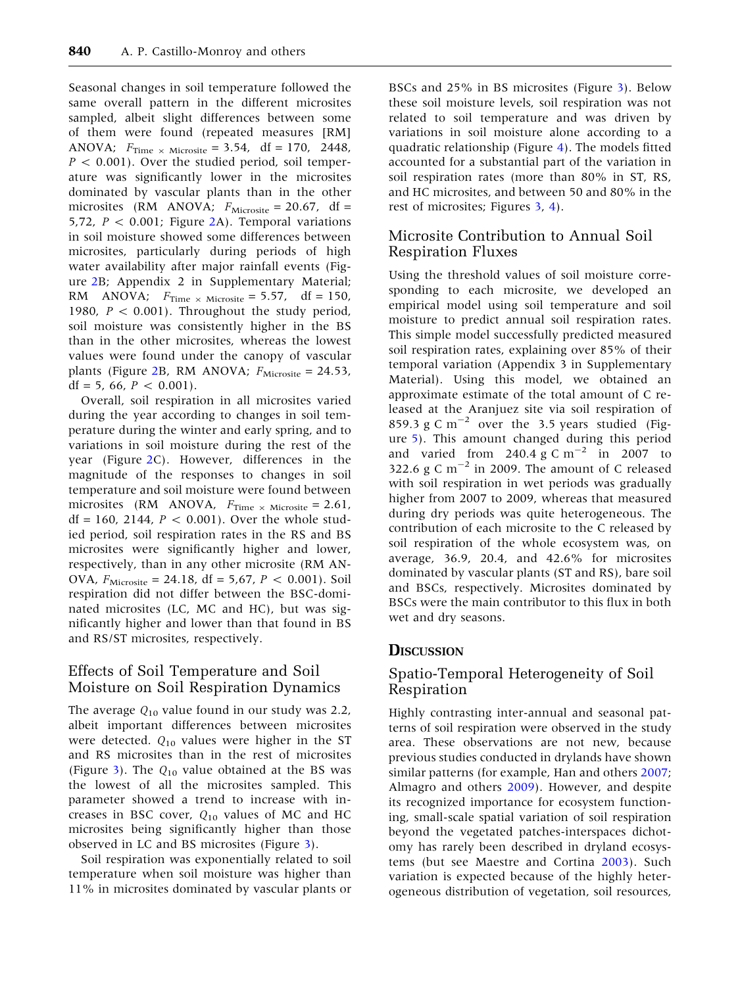<span id="page-5-0"></span>Seasonal changes in soil temperature followed the same overall pattern in the different microsites sampled, albeit slight differences between some of them were found (repeated measures [RM] ANOVA;  $F_{\text{Time}} \times \text{Microsoft} = 3.54$ , df = 170, 2448,  $P < 0.001$ ). Over the studied period, soil temperature was significantly lower in the microsites dominated by vascular plants than in the other microsites (RM ANOVA;  $F_{\text{Microsoft}} = 20.67$ , df = 5,7[2](#page-6-0),  $P < 0.001$ ; Figure 2A). Temporal variations in soil moisture showed some differences between microsites, particularly during periods of high water availability after major rainfall events (Figure [2B](#page-6-0); Appendix 2 in Supplementary Material; RM ANOVA;  $F_{\text{Time}} \times \text{Microsoft} = 5.57$ , df = 150, 1980,  $P < 0.001$ ). Throughout the study period, soil moisture was consistently higher in the BS than in the other microsites, whereas the lowest values were found under the canopy of vascular plants (Figure [2](#page-6-0)B, RM ANOVA;  $F_{\text{Microsoft}} = 24.53$ , df = 5, 66,  $P < 0.001$ ).

Overall, soil respiration in all microsites varied during the year according to changes in soil temperature during the winter and early spring, and to variations in soil moisture during the rest of the year (Figure [2C](#page-6-0)). However, differences in the magnitude of the responses to changes in soil temperature and soil moisture were found between microsites (RM ANOVA,  $F_{\text{Time}} \times \text{Microsoft} = 2.61$ , df = 160, 2144,  $P < 0.001$ ). Over the whole studied period, soil respiration rates in the RS and BS microsites were significantly higher and lower, respectively, than in any other microsite (RM AN-OVA,  $F_{\text{Microsite}} = 24.18$ , df = 5,67,  $P < 0.001$ ). Soil respiration did not differ between the BSC-dominated microsites (LC, MC and HC), but was significantly higher and lower than that found in BS and RS/ST microsites, respectively.

# Effects of Soil Temperature and Soil Moisture on Soil Respiration Dynamics

The average  $Q_{10}$  value found in our study was 2.2, albeit important differences between microsites were detected.  $Q_{10}$  values were higher in the ST and RS microsites than in the rest of microsites (Figure [3\)](#page-7-0). The  $Q_{10}$  value obtained at the BS was the lowest of all the microsites sampled. This parameter showed a trend to increase with increases in BSC cover,  $Q_{10}$  values of MC and HC microsites being significantly higher than those observed in LC and BS microsites (Figure [3](#page-7-0)).

Soil respiration was exponentially related to soil temperature when soil moisture was higher than 11% in microsites dominated by vascular plants or

BSCs and 25% in BS microsites (Figure [3\)](#page-7-0). Below these soil moisture levels, soil respiration was not related to soil temperature and was driven by variations in soil moisture alone according to a quadratic relationship (Figure [4\)](#page-8-0). The models fitted accounted for a substantial part of the variation in soil respiration rates (more than 80% in ST, RS, and HC microsites, and between 50 and 80% in the rest of microsites; Figures [3,](#page-7-0) [4](#page-8-0)).

# Microsite Contribution to Annual Soil Respiration Fluxes

Using the threshold values of soil moisture corresponding to each microsite, we developed an empirical model using soil temperature and soil moisture to predict annual soil respiration rates. This simple model successfully predicted measured soil respiration rates, explaining over 85% of their temporal variation (Appendix 3 in Supplementary Material). Using this model, we obtained an approximate estimate of the total amount of C released at the Aranjuez site via soil respiration of 859.3 g C  $m^{-2}$  over the 3.5 years studied (Figure [5\)](#page-8-0). This amount changed during this period and varied from 240.4 g C  $\overline{m}^{-2}$  in 2007 to 322.6 g C  $m^{-2}$  in 2009. The amount of C released with soil respiration in wet periods was gradually higher from 2007 to 2009, whereas that measured during dry periods was quite heterogeneous. The contribution of each microsite to the C released by soil respiration of the whole ecosystem was, on average, 36.9, 20.4, and 42.6% for microsites dominated by vascular plants (ST and RS), bare soil and BSCs, respectively. Microsites dominated by BSCs were the main contributor to this flux in both wet and dry seasons.

# **DISCUSSION**

## Spatio-Temporal Heterogeneity of Soil Respiration

Highly contrasting inter-annual and seasonal patterns of soil respiration were observed in the study area. These observations are not new, because previous studies conducted in drylands have shown similar patterns (for example, Han and others [2007](#page-11-0); Almagro and others [2009](#page-11-0)). However, and despite its recognized importance for ecosystem functioning, small-scale spatial variation of soil respiration beyond the vegetated patches-interspaces dichotomy has rarely been described in dryland ecosystems (but see Maestre and Cortina [2003\)](#page-12-0). Such variation is expected because of the highly heterogeneous distribution of vegetation, soil resources,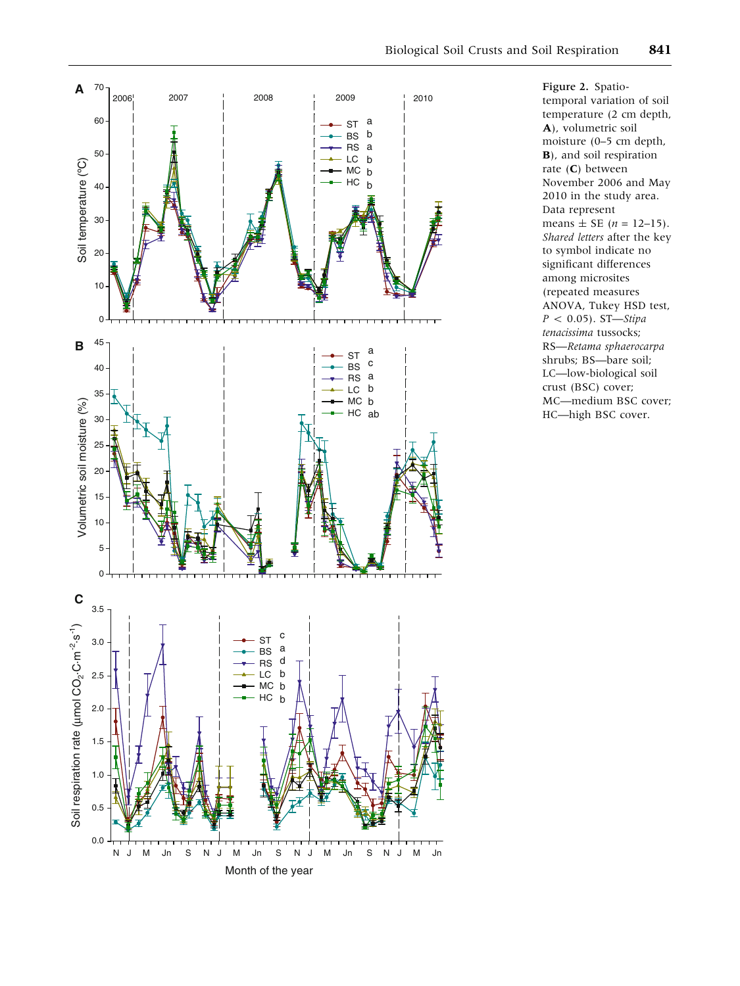<span id="page-6-0"></span>

Figure 2. Spatiotemporal variation of soil temperature (2 cm depth, A), volumetric soil moisture (0–5 cm depth, B), and soil respiration rate (C) between November 2006 and May 2010 in the study area. Data represent means  $\pm$  SE (*n* = 12–15). Shared letters after the key to symbol indicate no significant differences among microsites (repeated measures ANOVA, Tukey HSD test,  $P < 0.05$ ). ST-Stipa tenacissima tussocks; RS—Retama sphaerocarpa shrubs; BS—bare soil; LC—low-biological soil crust (BSC) cover; MC—medium BSC cover; HC—high BSC cover.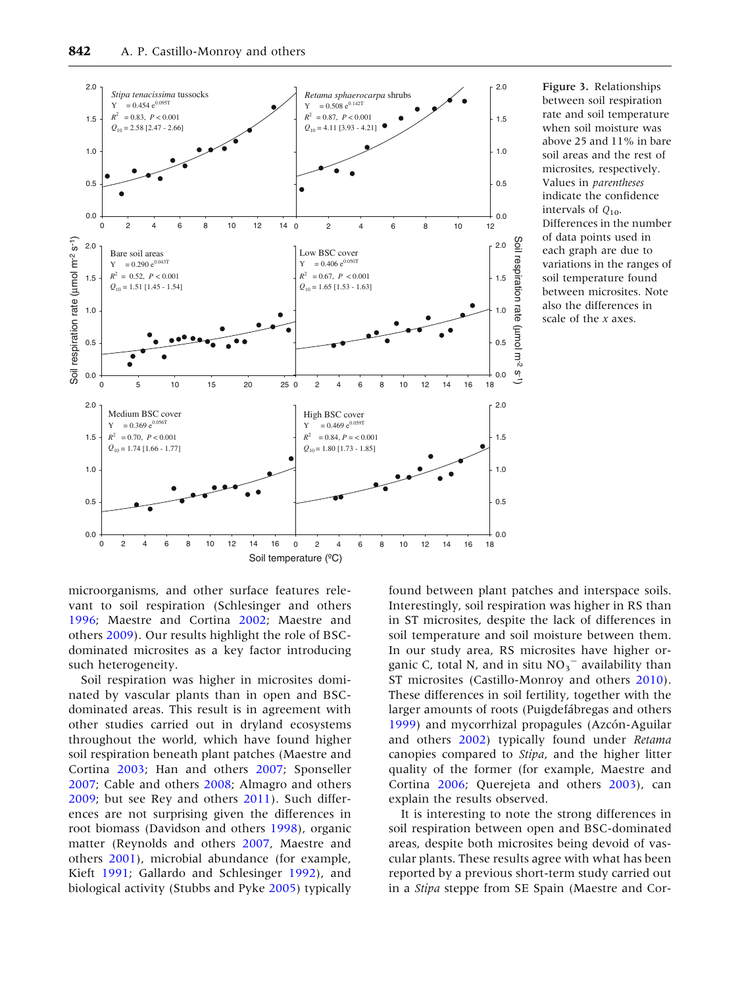<span id="page-7-0"></span>

Figure 3. Relationships between soil respiration rate and soil temperature when soil moisture was above 25 and 11% in bare soil areas and the rest of microsites, respectively. Values in parentheses indicate the confidence intervals of  $Q_{10}$ . Differences in the number of data points used in each graph are due to variations in the ranges of soil temperature found between microsites. Note also the differences in scale of the *x* axes.

microorganisms, and other surface features relevant to soil respiration (Schlesinger and others [1996;](#page-12-0) Maestre and Cortina [2002;](#page-12-0) Maestre and others [2009](#page-12-0)). Our results highlight the role of BSCdominated microsites as a key factor introducing such heterogeneity.

Soil respiration was higher in microsites dominated by vascular plants than in open and BSCdominated areas. This result is in agreement with other studies carried out in dryland ecosystems throughout the world, which have found higher soil respiration beneath plant patches (Maestre and Cortina [2003](#page-12-0); Han and others [2007](#page-11-0); Sponseller [2007;](#page-12-0) Cable and others [2008;](#page-11-0) Almagro and others [2009;](#page-11-0) but see Rey and others [2011](#page-12-0)). Such differences are not surprising given the differences in root biomass (Davidson and others [1998\)](#page-11-0), organic matter (Reynolds and others [2007,](#page-12-0) Maestre and others [2001](#page-12-0)), microbial abundance (for example, Kieft [1991;](#page-11-0) Gallardo and Schlesinger [1992\)](#page-11-0), and biological activity (Stubbs and Pyke [2005\)](#page-12-0) typically

found between plant patches and interspace soils. Interestingly, soil respiration was higher in RS than in ST microsites, despite the lack of differences in soil temperature and soil moisture between them. In our study area, RS microsites have higher organic C, total N, and in situ  $NO<sub>3</sub><sup>-</sup>$  availability than ST microsites (Castillo-Monroy and others [2010](#page-11-0)). These differences in soil fertility, together with the larger amounts of roots (Puigdefábregas and others [1999\)](#page-12-0) and mycorrhizal propagules (Azcón-Aguilar and others [2002](#page-11-0)) typically found under Retama canopies compared to Stipa, and the higher litter quality of the former (for example, Maestre and Cortina [2006](#page-12-0); Querejeta and others [2003\)](#page-12-0), can explain the results observed.

It is interesting to note the strong differences in soil respiration between open and BSC-dominated areas, despite both microsites being devoid of vascular plants. These results agree with what has been reported by a previous short-term study carried out in a Stipa steppe from SE Spain (Maestre and Cor-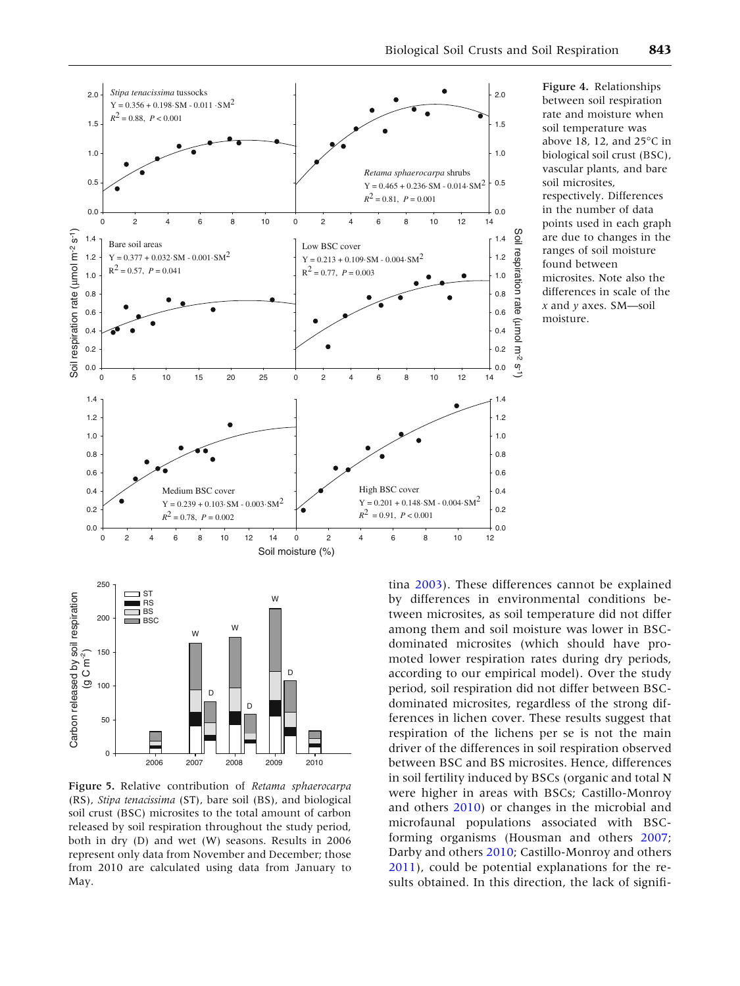mol m-2

<span id="page-8-0"></span>

Figure 4. Relationships between soil respiration rate and moisture when soil temperature was above 18, 12, and  $25^{\circ}$ C in biological soil crust (BSC), vascular plants, and bare soil microsites, respectively. Differences in the number of data points used in each graph are due to changes in the ranges of soil moisture found between microsites. Note also the differences in scale of the  $x$  and  $y$  axes. SM—soil moisture.

by differences in environmental conditions between microsites, as soil temperature did not differ among them and soil moisture was lower in BSCdominated microsites (which should have promoted lower respiration rates during dry periods, according to our empirical model). Over the study period, soil respiration did not differ between BSCdominated microsites, regardless of the strong differences in lichen cover. These results suggest that respiration of the lichens per se is not the main driver of the differences in soil respiration observed between BSC and BS microsites. Hence, differences in soil fertility induced by BSCs (organic and total N were higher in areas with BSCs; Castillo-Monroy and others [2010\)](#page-11-0) or changes in the microbial and microfaunal populations associated with BSCforming organisms (Housman and others [2007](#page-11-0); Darby and others [2010](#page-11-0); Castillo-Monroy and others [2011\)](#page-11-0), could be potential explanations for the results obtained. In this direction, the lack of signifi-

Figure 5. Relative contribution of Retama sphaerocarpa (RS), Stipa tenacissima (ST), bare soil (BS), and biological soil crust (BSC) microsites to the total amount of carbon released by soil respiration throughout the study period, both in dry (D) and wet (W) seasons. Results in 2006 represent only data from November and December; those from 2010 are calculated using data from January to May.

D

D

D

2007 2008 2009 2010

2006

0

50

100

150

(g C m-2)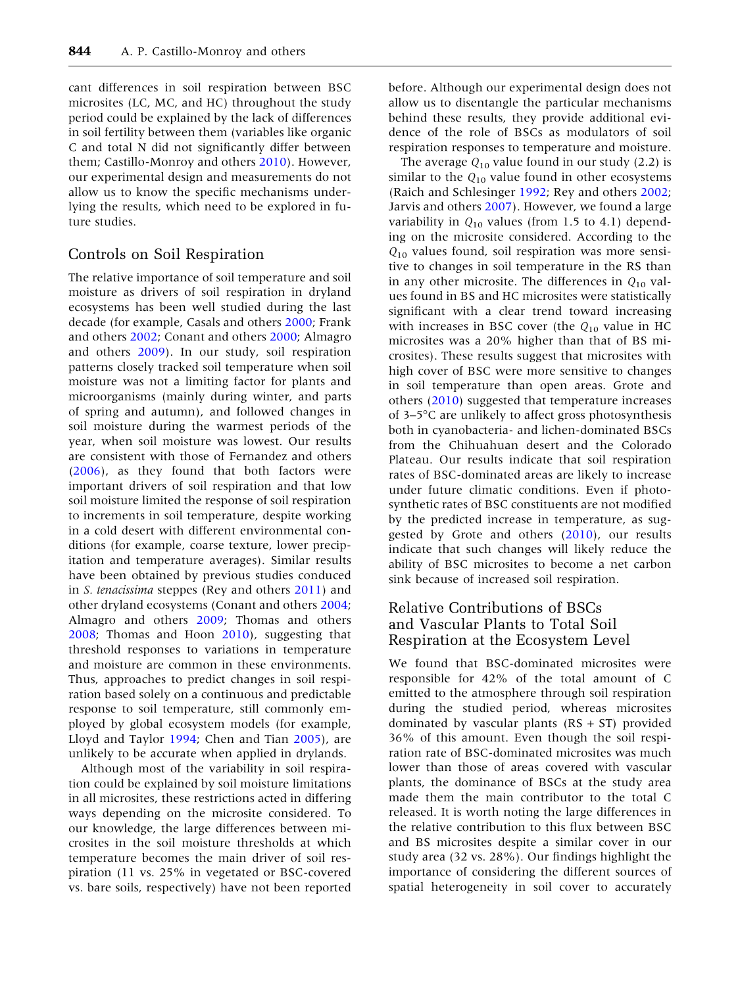cant differences in soil respiration between BSC microsites (LC, MC, and HC) throughout the study period could be explained by the lack of differences in soil fertility between them (variables like organic C and total N did not significantly differ between them; Castillo-Monroy and others [2010](#page-11-0)). However, our experimental design and measurements do not allow us to know the specific mechanisms underlying the results, which need to be explored in future studies.

#### Controls on Soil Respiration

The relative importance of soil temperature and soil moisture as drivers of soil respiration in dryland ecosystems has been well studied during the last decade (for example, Casals and others [2000;](#page-11-0) Frank and others [2002](#page-11-0); Conant and others [2000;](#page-11-0) Almagro and others [2009\)](#page-11-0). In our study, soil respiration patterns closely tracked soil temperature when soil moisture was not a limiting factor for plants and microorganisms (mainly during winter, and parts of spring and autumn), and followed changes in soil moisture during the warmest periods of the year, when soil moisture was lowest. Our results are consistent with those of Fernandez and others ([2006\)](#page-11-0), as they found that both factors were important drivers of soil respiration and that low soil moisture limited the response of soil respiration to increments in soil temperature, despite working in a cold desert with different environmental conditions (for example, coarse texture, lower precipitation and temperature averages). Similar results have been obtained by previous studies conduced in S. tenacissima steppes (Rey and others [2011](#page-12-0)) and other dryland ecosystems (Conant and others [2004](#page-11-0); Almagro and others [2009;](#page-11-0) Thomas and others [2008;](#page-12-0) Thomas and Hoon [2010](#page-12-0)), suggesting that threshold responses to variations in temperature and moisture are common in these environments. Thus, approaches to predict changes in soil respiration based solely on a continuous and predictable response to soil temperature, still commonly employed by global ecosystem models (for example, Lloyd and Taylor [1994;](#page-12-0) Chen and Tian [2005\)](#page-11-0), are unlikely to be accurate when applied in drylands.

Although most of the variability in soil respiration could be explained by soil moisture limitations in all microsites, these restrictions acted in differing ways depending on the microsite considered. To our knowledge, the large differences between microsites in the soil moisture thresholds at which temperature becomes the main driver of soil respiration (11 vs. 25% in vegetated or BSC-covered vs. bare soils, respectively) have not been reported before. Although our experimental design does not allow us to disentangle the particular mechanisms behind these results, they provide additional evidence of the role of BSCs as modulators of soil respiration responses to temperature and moisture.

The average  $Q_{10}$  value found in our study (2.2) is similar to the  $Q_{10}$  value found in other ecosystems (Raich and Schlesinger [1992;](#page-12-0) Rey and others [2002](#page-12-0); Jarvis and others [2007](#page-11-0)). However, we found a large variability in  $Q_{10}$  values (from 1.5 to 4.1) depending on the microsite considered. According to the  $Q_{10}$  values found, soil respiration was more sensitive to changes in soil temperature in the RS than in any other microsite. The differences in  $Q_{10}$  values found in BS and HC microsites were statistically significant with a clear trend toward increasing with increases in BSC cover (the  $Q_{10}$  value in HC microsites was a 20% higher than that of BS microsites). These results suggest that microsites with high cover of BSC were more sensitive to changes in soil temperature than open areas. Grote and others [\(2010](#page-11-0)) suggested that temperature increases of 3–5C are unlikely to affect gross photosynthesis both in cyanobacteria- and lichen-dominated BSCs from the Chihuahuan desert and the Colorado Plateau. Our results indicate that soil respiration rates of BSC-dominated areas are likely to increase under future climatic conditions. Even if photosynthetic rates of BSC constituents are not modified by the predicted increase in temperature, as suggested by Grote and others ([2010\)](#page-11-0), our results indicate that such changes will likely reduce the ability of BSC microsites to become a net carbon sink because of increased soil respiration.

#### Relative Contributions of BSCs and Vascular Plants to Total Soil Respiration at the Ecosystem Level

We found that BSC-dominated microsites were responsible for 42% of the total amount of C emitted to the atmosphere through soil respiration during the studied period, whereas microsites dominated by vascular plants  $(RS + ST)$  provided 36% of this amount. Even though the soil respiration rate of BSC-dominated microsites was much lower than those of areas covered with vascular plants, the dominance of BSCs at the study area made them the main contributor to the total C released. It is worth noting the large differences in the relative contribution to this flux between BSC and BS microsites despite a similar cover in our study area (32 vs. 28%). Our findings highlight the importance of considering the different sources of spatial heterogeneity in soil cover to accurately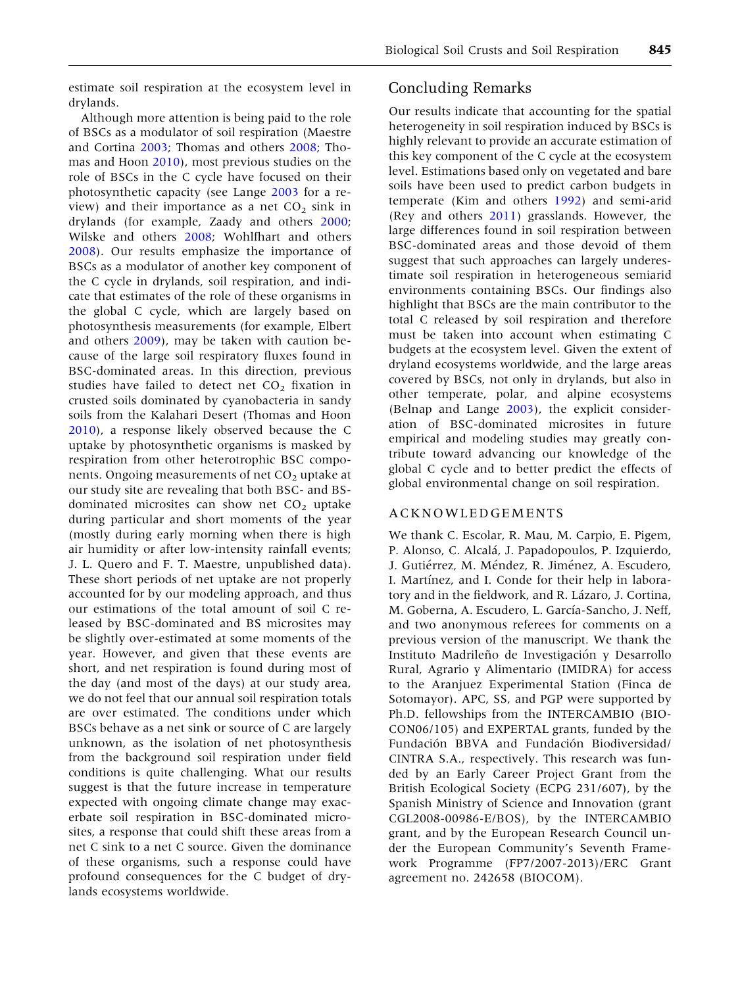estimate soil respiration at the ecosystem level in drylands.

Although more attention is being paid to the role of BSCs as a modulator of soil respiration (Maestre and Cortina [2003;](#page-12-0) Thomas and others [2008](#page-12-0); Thomas and Hoon [2010](#page-12-0)), most previous studies on the role of BSCs in the C cycle have focused on their photosynthetic capacity (see Lange [2003](#page-11-0) for a review) and their importance as a net  $CO<sub>2</sub>$  sink in drylands (for example, Zaady and others [2000](#page-12-0); Wilske and others [2008](#page-12-0); Wohlfhart and others [2008\)](#page-12-0). Our results emphasize the importance of BSCs as a modulator of another key component of the C cycle in drylands, soil respiration, and indicate that estimates of the role of these organisms in the global C cycle, which are largely based on photosynthesis measurements (for example, Elbert and others [2009](#page-11-0)), may be taken with caution because of the large soil respiratory fluxes found in BSC-dominated areas. In this direction, previous studies have failed to detect net  $CO<sub>2</sub>$  fixation in crusted soils dominated by cyanobacteria in sandy soils from the Kalahari Desert (Thomas and Hoon [2010\)](#page-12-0), a response likely observed because the C uptake by photosynthetic organisms is masked by respiration from other heterotrophic BSC components. Ongoing measurements of net  $CO<sub>2</sub>$  uptake at our study site are revealing that both BSC- and BSdominated microsites can show net  $CO<sub>2</sub>$  uptake during particular and short moments of the year (mostly during early morning when there is high air humidity or after low-intensity rainfall events; J. L. Quero and F. T. Maestre, unpublished data). These short periods of net uptake are not properly accounted for by our modeling approach, and thus our estimations of the total amount of soil C released by BSC-dominated and BS microsites may be slightly over-estimated at some moments of the year. However, and given that these events are short, and net respiration is found during most of the day (and most of the days) at our study area, we do not feel that our annual soil respiration totals are over estimated. The conditions under which BSCs behave as a net sink or source of C are largely unknown, as the isolation of net photosynthesis from the background soil respiration under field conditions is quite challenging. What our results suggest is that the future increase in temperature expected with ongoing climate change may exacerbate soil respiration in BSC-dominated microsites, a response that could shift these areas from a net C sink to a net C source. Given the dominance of these organisms, such a response could have profound consequences for the C budget of drylands ecosystems worldwide.

## Concluding Remarks

Our results indicate that accounting for the spatial heterogeneity in soil respiration induced by BSCs is highly relevant to provide an accurate estimation of this key component of the C cycle at the ecosystem level. Estimations based only on vegetated and bare soils have been used to predict carbon budgets in temperate (Kim and others [1992\)](#page-11-0) and semi-arid (Rey and others [2011\)](#page-12-0) grasslands. However, the large differences found in soil respiration between BSC-dominated areas and those devoid of them suggest that such approaches can largely underestimate soil respiration in heterogeneous semiarid environments containing BSCs. Our findings also highlight that BSCs are the main contributor to the total C released by soil respiration and therefore must be taken into account when estimating C budgets at the ecosystem level. Given the extent of dryland ecosystems worldwide, and the large areas covered by BSCs, not only in drylands, but also in other temperate, polar, and alpine ecosystems (Belnap and Lange [2003](#page-11-0)), the explicit consideration of BSC-dominated microsites in future empirical and modeling studies may greatly contribute toward advancing our knowledge of the global C cycle and to better predict the effects of global environmental change on soil respiration.

#### ACKNOWLEDGEMENTS

We thank C. Escolar, R. Mau, M. Carpio, E. Pigem, P. Alonso, C. Alcala´, J. Papadopoulos, P. Izquierdo, J. Gutiérrez, M. Méndez, R. Jiménez, A. Escudero, I. Martinez, and I. Conde for their help in laboratory and in the fieldwork, and R. Lázaro, J. Cortina, M. Goberna, A. Escudero, L. García-Sancho, J. Neff, and two anonymous referees for comments on a previous version of the manuscript. We thank the Instituto Madrileño de Investigación y Desarrollo Rural, Agrario y Alimentario (IMIDRA) for access to the Aranjuez Experimental Station (Finca de Sotomayor). APC, SS, and PGP were supported by Ph.D. fellowships from the INTERCAMBIO (BIO-CON06/105) and EXPERTAL grants, funded by the Fundación BBVA and Fundación Biodiversidad/ CINTRA S.A., respectively. This research was funded by an Early Career Project Grant from the British Ecological Society (ECPG 231/607), by the Spanish Ministry of Science and Innovation (grant CGL2008-00986-E/BOS), by the INTERCAMBIO grant, and by the European Research Council under the European Community's Seventh Framework Programme (FP7/2007-2013)/ERC Grant agreement no. 242658 (BIOCOM).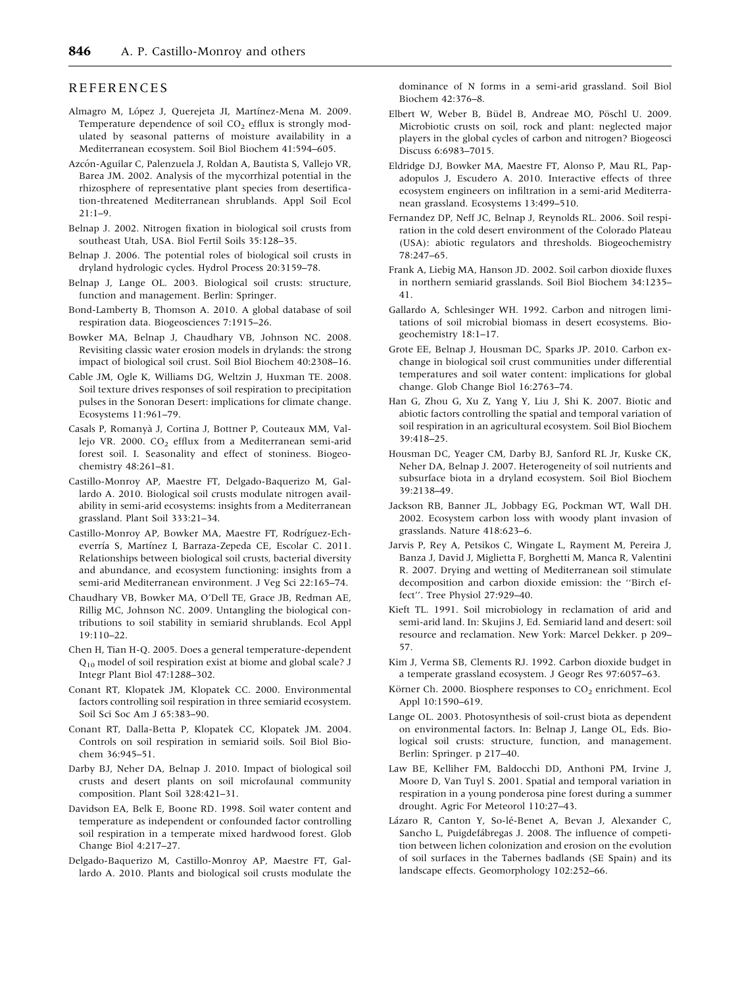#### <span id="page-11-0"></span>REFERENCES

- Almagro M, López J, Querejeta JI, Martínez-Mena M. 2009. Temperature dependence of soil  $CO<sub>2</sub>$  efflux is strongly modulated by seasonal patterns of moisture availability in a Mediterranean ecosystem. Soil Biol Biochem 41:594–605.
- Azcón-Aguilar C, Palenzuela J, Roldan A, Bautista S, Vallejo VR, Barea JM. 2002. Analysis of the mycorrhizal potential in the rhizosphere of representative plant species from desertification-threatened Mediterranean shrublands. Appl Soil Ecol 21:1–9.
- Belnap J. 2002. Nitrogen fixation in biological soil crusts from southeast Utah, USA. Biol Fertil Soils 35:128–35.
- Belnap J. 2006. The potential roles of biological soil crusts in dryland hydrologic cycles. Hydrol Process 20:3159–78.
- Belnap J, Lange OL. 2003. Biological soil crusts: structure, function and management. Berlin: Springer.
- Bond-Lamberty B, Thomson A. 2010. A global database of soil respiration data. Biogeosciences 7:1915–26.
- Bowker MA, Belnap J, Chaudhary VB, Johnson NC. 2008. Revisiting classic water erosion models in drylands: the strong impact of biological soil crust. Soil Biol Biochem 40:2308–16.
- Cable JM, Ogle K, Williams DG, Weltzin J, Huxman TE. 2008. Soil texture drives responses of soil respiration to precipitation pulses in the Sonoran Desert: implications for climate change. Ecosystems 11:961–79.
- Casals P, Romanya` J, Cortina J, Bottner P, Couteaux MM, Vallejo VR. 2000. CO<sub>2</sub> efflux from a Mediterranean semi-arid forest soil. I. Seasonality and effect of stoniness. Biogeochemistry 48:261–81.
- Castillo-Monroy AP, Maestre FT, Delgado-Baquerizo M, Gallardo A. 2010. Biological soil crusts modulate nitrogen availability in semi-arid ecosystems: insights from a Mediterranean grassland. Plant Soil 333:21–34.
- Castillo-Monroy AP, Bowker MA, Maestre FT, Rodríguez-Echeverría S, Martínez I, Barraza-Zepeda CE, Escolar C. 2011. Relationships between biological soil crusts, bacterial diversity and abundance, and ecosystem functioning: insights from a semi-arid Mediterranean environment. J Veg Sci 22:165–74.
- Chaudhary VB, Bowker MA, O'Dell TE, Grace JB, Redman AE, Rillig MC, Johnson NC. 2009. Untangling the biological contributions to soil stability in semiarid shrublands. Ecol Appl 19:110–22.
- Chen H, Tian H-Q. 2005. Does a general temperature-dependent Q10 model of soil respiration exist at biome and global scale? J Integr Plant Biol 47:1288–302.
- Conant RT, Klopatek JM, Klopatek CC. 2000. Environmental factors controlling soil respiration in three semiarid ecosystem. Soil Sci Soc Am J 65:383–90.
- Conant RT, Dalla-Betta P, Klopatek CC, Klopatek JM. 2004. Controls on soil respiration in semiarid soils. Soil Biol Biochem 36:945–51.
- Darby BJ, Neher DA, Belnap J. 2010. Impact of biological soil crusts and desert plants on soil microfaunal community composition. Plant Soil 328:421–31.
- Davidson EA, Belk E, Boone RD. 1998. Soil water content and temperature as independent or confounded factor controlling soil respiration in a temperate mixed hardwood forest. Glob Change Biol 4:217–27.
- Delgado-Baquerizo M, Castillo-Monroy AP, Maestre FT, Gallardo A. 2010. Plants and biological soil crusts modulate the

dominance of N forms in a semi-arid grassland. Soil Biol Biochem 42:376–8.

- Elbert W, Weber B, Büdel B, Andreae MO, Pöschl U. 2009. Microbiotic crusts on soil, rock and plant: neglected major players in the global cycles of carbon and nitrogen? Biogeosci Discuss 6:6983–7015.
- Eldridge DJ, Bowker MA, Maestre FT, Alonso P, Mau RL, Papadopulos J, Escudero A. 2010. Interactive effects of three ecosystem engineers on infiltration in a semi-arid Mediterranean grassland. Ecosystems 13:499–510.
- Fernandez DP, Neff JC, Belnap J, Reynolds RL. 2006. Soil respiration in the cold desert environment of the Colorado Plateau (USA): abiotic regulators and thresholds. Biogeochemistry 78:247–65.
- Frank A, Liebig MA, Hanson JD. 2002. Soil carbon dioxide fluxes in northern semiarid grasslands. Soil Biol Biochem 34:1235– 41.
- Gallardo A, Schlesinger WH. 1992. Carbon and nitrogen limitations of soil microbial biomass in desert ecosystems. Biogeochemistry 18:1–17.
- Grote EE, Belnap J, Housman DC, Sparks JP. 2010. Carbon exchange in biological soil crust communities under differential temperatures and soil water content: implications for global change. Glob Change Biol 16:2763–74.
- Han G, Zhou G, Xu Z, Yang Y, Liu J, Shi K. 2007. Biotic and abiotic factors controlling the spatial and temporal variation of soil respiration in an agricultural ecosystem. Soil Biol Biochem 39:418–25.
- Housman DC, Yeager CM, Darby BJ, Sanford RL Jr, Kuske CK, Neher DA, Belnap J. 2007. Heterogeneity of soil nutrients and subsurface biota in a dryland ecosystem. Soil Biol Biochem 39:2138–49.
- Jackson RB, Banner JL, Jobbagy EG, Pockman WT, Wall DH. 2002. Ecosystem carbon loss with woody plant invasion of grasslands. Nature 418:623–6.
- Jarvis P, Rey A, Petsikos C, Wingate L, Rayment M, Pereira J, Banza J, David J, Miglietta F, Borghetti M, Manca R, Valentini R. 2007. Drying and wetting of Mediterranean soil stimulate decomposition and carbon dioxide emission: the ''Birch effect''. Tree Physiol 27:929–40.
- Kieft TL. 1991. Soil microbiology in reclamation of arid and semi-arid land. In: Skujins J, Ed. Semiarid land and desert: soil resource and reclamation. New York: Marcel Dekker. p 209– 57.
- Kim J, Verma SB, Clements RJ. 1992. Carbon dioxide budget in a temperate grassland ecosystem. J Geogr Res 97:6057–63.
- Körner Ch. 2000. Biosphere responses to  $CO<sub>2</sub>$  enrichment. Ecol Appl 10:1590–619.
- Lange OL. 2003. Photosynthesis of soil-crust biota as dependent on environmental factors. In: Belnap J, Lange OL, Eds. Biological soil crusts: structure, function, and management. Berlin: Springer. p 217–40.
- Law BE, Kelliher FM, Baldocchi DD, Anthoni PM, Irvine J, Moore D, Van Tuyl S. 2001. Spatial and temporal variation in respiration in a young ponderosa pine forest during a summer drought. Agric For Meteorol 110:27–43.
- Lázaro R, Canton Y, So-lé-Benet A, Bevan J, Alexander C, Sancho L, Puigdefábregas J. 2008. The influence of competition between lichen colonization and erosion on the evolution of soil surfaces in the Tabernes badlands (SE Spain) and its landscape effects. Geomorphology 102:252–66.